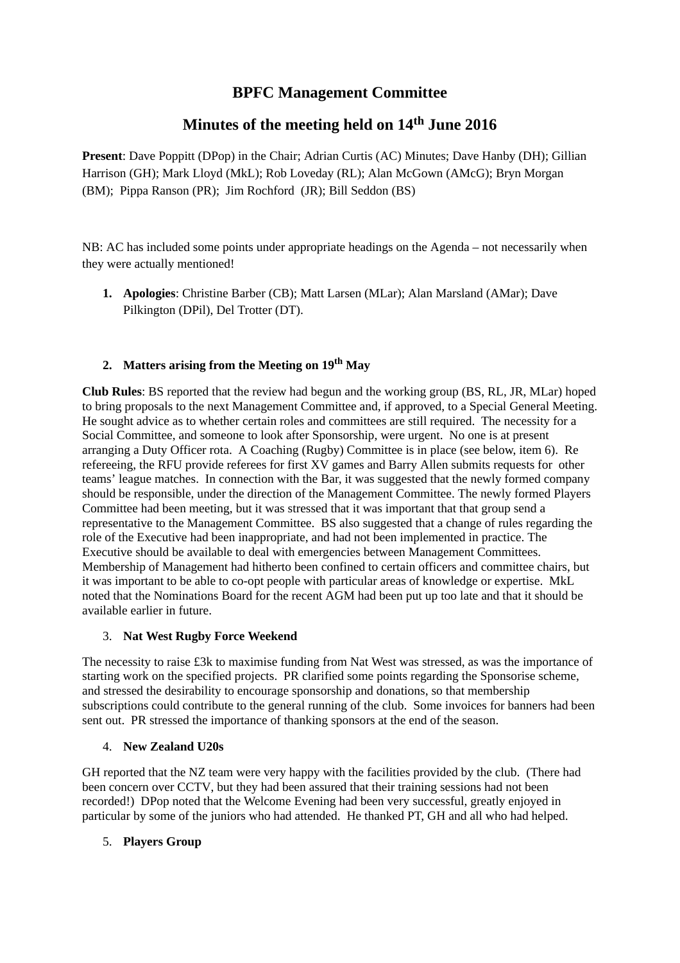# **BPFC Management Committee**

# **Minutes of the meeting held on 14 th June 2016**

**Present**: Dave Poppitt (DPop) in the Chair; Adrian Curtis (AC) Minutes; Dave Hanby (DH); Gillian Harrison (GH); Mark Lloyd (MkL); Rob Loveday (RL); Alan McGown (AMcG); Bryn Morgan (BM); Pippa Ranson (PR); Jim Rochford (JR); Bill Seddon (BS)

NB: AC has included some points under appropriate headings on the Agenda – not necessarily when they were actually mentioned!

**Apologies**: Christine Barber (CB); Matt Larsen (MLar); Alan Marsland (AMar); Dave **1.** Pilkington (DPil), Del Trotter (DT).

# **Matters arising from the Meeting on 19 2. th May**

**Club Rules**: BS reported that the review had begun and the working group (BS, RL, JR, MLar) hoped to bring proposals to the next Management Committee and, if approved, to a Special General Meeting. He sought advice as to whether certain roles and committees are still required. The necessity for a Social Committee, and someone to look after Sponsorship, were urgent. No one is at present arranging a Duty Officer rota. A Coaching (Rugby) Committee is in place (see below, item 6). Re refereeing, the RFU provide referees for first XV games and Barry Allen submits requests for other teams' league matches. In connection with the Bar, it was suggested that the newly formed company should be responsible, under the direction of the Management Committee. The newly formed Players Committee had been meeting, but it was stressed that it was important that that group send a representative to the Management Committee. BS also suggested that a change of rules regarding the role of the Executive had been inappropriate, and had not been implemented in practice. The Executive should be available to deal with emergencies between Management Committees. Membership of Management had hitherto been confined to certain officers and committee chairs, but it was important to be able to co-opt people with particular areas of knowledge or expertise. MkL noted that the Nominations Board for the recent AGM had been put up too late and that it should be available earlier in future.

#### 3. **Nat West Rugby Force Weekend**

The necessity to raise £3k to maximise funding from Nat West was stressed, as was the importance of starting work on the specified projects. PR clarified some points regarding the Sponsorise scheme, and stressed the desirability to encourage sponsorship and donations, so that membership subscriptions could contribute to the general running of the club. Some invoices for banners had been sent out. PR stressed the importance of thanking sponsors at the end of the season.

### 4. **New Zealand U20s**

GH reported that the NZ team were very happy with the facilities provided by the club. (There had been concern over CCTV, but they had been assured that their training sessions had not been recorded!) DPop noted that the Welcome Evening had been very successful, greatly enjoyed in particular by some of the juniors who had attended. He thanked PT, GH and all who had helped.

### 5. **Players Group**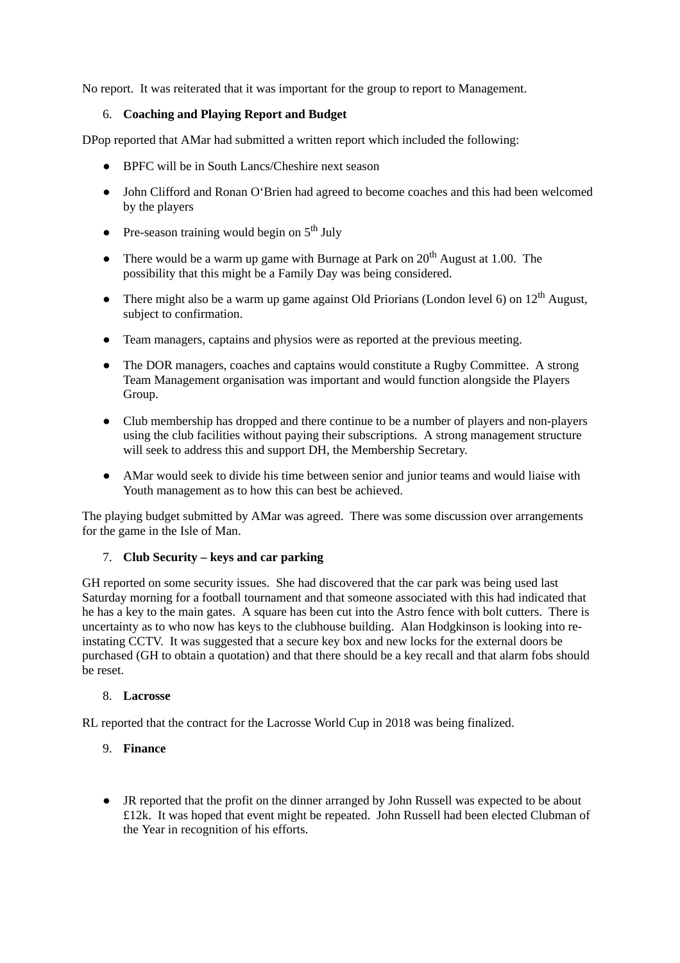No report. It was reiterated that it was important for the group to report to Management.

### 6. **Coaching and Playing Report and Budget**

DPop reported that AMar had submitted a written report which included the following:

- BPFC will be in South Lancs/Cheshire next season
- John Clifford and Ronan O'Brien had agreed to become coaches and this had been welcomed by the players
- Pre-season training would begin on  $5<sup>th</sup>$  July
- There would be a warm up game with Burnage at Park on  $20<sup>th</sup>$  August at 1.00. The possibility that this might be a Family Day was being considered.
- There might also be a warm up game against Old Priorians (London level 6) on  $12<sup>th</sup>$  August, subject to confirmation.  $\bullet$
- Team managers, captains and physios were as reported at the previous meeting.
- The DOR managers, coaches and captains would constitute a Rugby Committee. A strong Team Management organisation was important and would function alongside the Players Group.  $\bullet$
- Club membership has dropped and there continue to be a number of players and non-players using the club facilities without paying their subscriptions. A strong management structure will seek to address this and support DH, the Membership Secretary. ●
- AMar would seek to divide his time between senior and junior teams and would liaise with Youth management as to how this can best be achieved. ●

The playing budget submitted by AMar was agreed. There was some discussion over arrangements for the game in the Isle of Man.

#### 7. **Club Security – keys and car parking**

GH reported on some security issues. She had discovered that the car park was being used last Saturday morning for a football tournament and that someone associated with this had indicated that he has a key to the main gates. A square has been cut into the Astro fence with bolt cutters. There is uncertainty as to who now has keys to the clubhouse building. Alan Hodgkinson is looking into reinstating CCTV. It was suggested that a secure key box and new locks for the external doors be purchased (GH to obtain a quotation) and that there should be a key recall and that alarm fobs should be reset.

#### 8. **Lacrosse**

RL reported that the contract for the Lacrosse World Cup in 2018 was being finalized.

- 9. **Finance**
- JR reported that the profit on the dinner arranged by John Russell was expected to be about ●£12k. It was hoped that event might be repeated. John Russell had been elected Clubman of the Year in recognition of his efforts.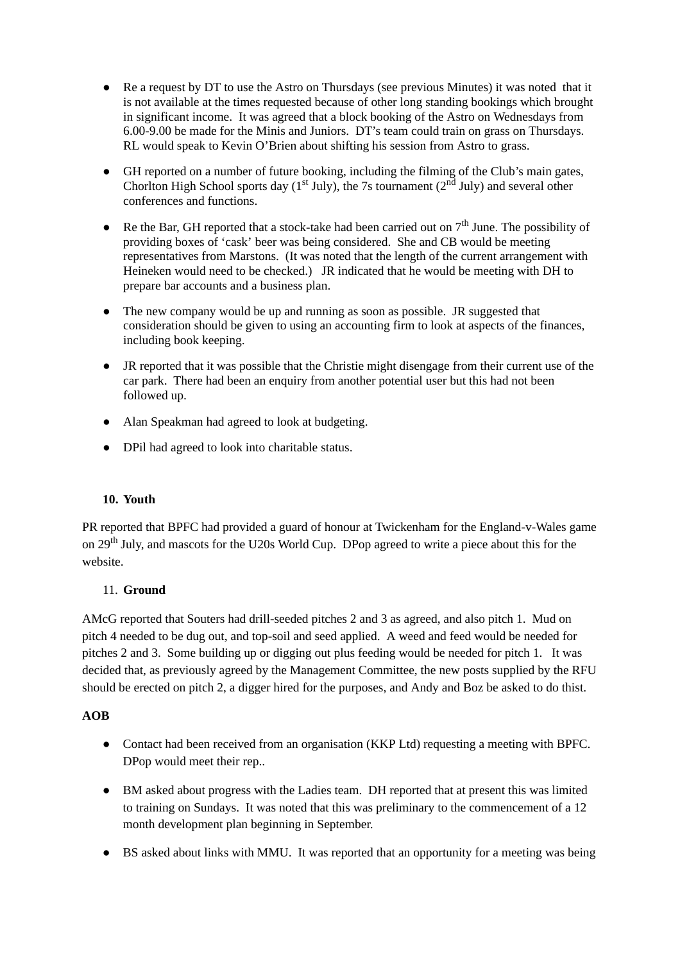- Re a request by DT to use the Astro on Thursdays (see previous Minutes) it was noted that it is not available at the times requested because of other long standing bookings which brought in significant income. It was agreed that a block booking of the Astro on Wednesdays from 6.00-9.00 be made for the Minis and Juniors. DT's team could train on grass on Thursdays. RL would speak to Kevin O'Brien about shifting his session from Astro to grass. ●
- GH reported on a number of future booking, including the filming of the Club's main gates, Chorlton High School sports day  $(1<sup>st</sup> July)$ , the 7s tournament  $(2<sup>nd</sup> July)$  and several other conferences and functions.
- Re the Bar, GH reported that a stock-take had been carried out on  $7<sup>th</sup>$  June. The possibility of providing boxes of 'cask' beer was being considered. She and CB would be meeting representatives from Marstons. (It was noted that the length of the current arrangement with Heineken would need to be checked.) JR indicated that he would be meeting with DH to prepare bar accounts and a business plan. ●
- The new company would be up and running as soon as possible. JR suggested that consideration should be given to using an accounting firm to look at aspects of the finances, including book keeping. ●
- JR reported that it was possible that the Christie might disengage from their current use of the car park. There had been an enquiry from another potential user but this had not been followed up.  $\bullet$
- Alan Speakman had agreed to look at budgeting.
- DPil had agreed to look into charitable status.

## **10. Youth**

PR reported that BPFC had provided a guard of honour at Twickenham for the England-v-Wales game on 29<sup>th</sup> July, and mascots for the U20s World Cup. DPop agreed to write a piece about this for the website.

## 11. **Ground**

AMcG reported that Souters had drill-seeded pitches 2 and 3 as agreed, and also pitch 1. Mud on pitch 4 needed to be dug out, and top-soil and seed applied. A weed and feed would be needed for pitches 2 and 3. Some building up or digging out plus feeding would be needed for pitch 1. It was decided that, as previously agreed by the Management Committee, the new posts supplied by the RFU should be erected on pitch 2, a digger hired for the purposes, and Andy and Boz be asked to do thist.

## **AOB**

- Contact had been received from an organisation (KKP Ltd) requesting a meeting with BPFC. DPop would meet their rep..
- BM asked about progress with the Ladies team. DH reported that at present this was limited to training on Sundays. It was noted that this was preliminary to the commencement of a 12 month development plan beginning in September.
- BS asked about links with MMU. It was reported that an opportunity for a meeting was being